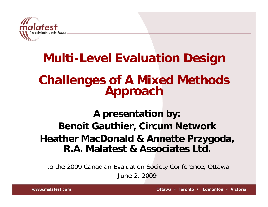

# **Multi-Level Evaluation Design Challenges of A Mixed Methods Approach**

### **A presentation by: Benoît Gauthier, Circum Network Heather MacDonald & Annette Przygoda, R.A. Malatest & Associates Ltd.**

to the 2009 Canadian Evaluation Society Conference, Ottawa June 2, 2009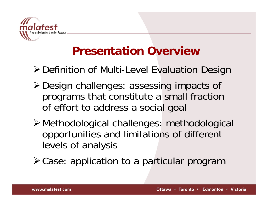

### **Presentation Overview**

¾Definition of Multi-Level Evaluation Design

- ¾Design challenges: assessing impacts of programs that constitute a small fraction of effort to address a social goal
- ¾Methodological challenges: methodological opportunities and limitations of different levels of analysis

¾Case: application to a particular program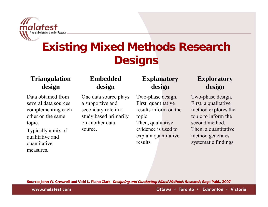

## **Existing Mixed Methods Research Designs**

#### **Triangulation design**

Data obtained from several data sources complementing each other on the same topic.

Typically a mix of qualitative and quantitative measures.

#### **Embeddeddesign**

One data source plays a supportive and secondary role in a study based primarily on another data source.

#### **Explanatory design**

Two-phase design. First, quantitative results inform on the topic.

Then, qualitative evidence is used to explain quantitative results

#### **Exploratory design**

Two-phase design. First, a qualitative method explores the topic to inform the second method.Then, a quantitative method generates systematic findings.

**Source: John W. Creswell and Vicki L. Plano Clark, Designing and Conducting Mixed Methods Research, Sage Publ., 2007**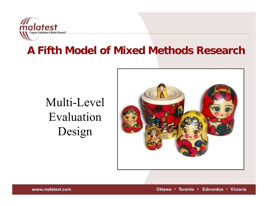

### **A Fifth Model of Mixed Methods Research**

# Multi-Level EvaluationDesign



Ottawa • Toronto • Edmonton • Victoria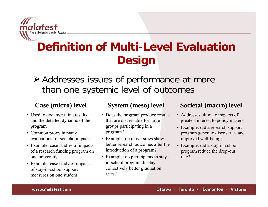

## **Definition of Multi-Level Evaluation Design**

### ¾ Addresses issues of performance at more than one systemic level of outcomes

#### **Case (micro) level**

- Used to document fine results and the detailed dynamic of the program
- Common proxy in many evaluations for societal impacts
- Example: case studies of impacts of a research funding program on one university
- Example: case study of impacts of stay-in-school support measures on one student

#### **System (meso) level**

- Does the program produce results that are discernable for large groups participating in a program?
- Example: do universities show better research outcomes after the introduction of a program?
- Example: do participants in stayin-school program display collectively better graduation rates?

#### **Societal (macro) level**

- Addresses ultimate impacts of greatest interest to policy makers
- Example: did a research support program generate discoveries and improved well-being?
- Example: did a stay-in-school program reduce the drop-out rate?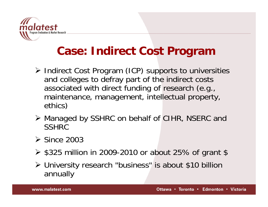

### **Case: Indirect Cost Program**

- ¾ Indirect Cost Program (ICP) supports to universities and colleges to defray part of the indirect costs associated with direct funding of research (e.g., maintenance, management, intellectual property, ethics)
- ¾ Managed by SSHRC on behalf of CIHR, NSERC and **SSHRC**
- $\triangleright$  Since 2003
- ¾ \$325 million in 2009-2010 or about 25% of grant \$
- ¾ University research "business" is about \$10 billion annually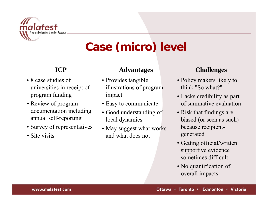

## **Case (micro) level**

### **ICP**

- 8 case studies of universities in receipt of program funding
- Review of program documentation including annual self-reporting
- Survey of representatives
- Site visits

#### **Advantages**

- Provides tangible illustrations of program impact
- Easy to communicate
- Good understanding of local dynamics
- May suggest what works and what does not

#### **Challenges**

- Policy makers likely to think "So what?"
- Lacks credibility as part of summative evaluation
- Risk that findings are biased (or seen as such) because recipientgenerated
- Getting official/written supportive evidence sometimes difficult
- No quantification of overall impacts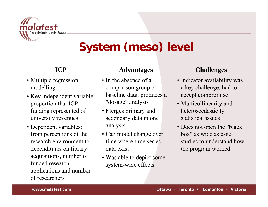

## **System (meso) level**

### **ICP**

- Multiple regression modelling
- Key independent variable: proportion that ICP funding represented of university revenues
- Dependent variables: from perceptions of the research environment to expenditures on library acquisitions, number of funded research applications and number of researchers

#### **Advantages**

- In the absence of a comparison group or baseline data, produces a "dosage" analysis
- Merges primary and secondary data in one analysis
- Can model change over time where time series data exist
- Was able to depict some system-wide effects

### **Challenges**

- Indicator availability was a key challenge: had to accept compromise
- Multicollinearity and heteroscedasticity <sup>−</sup> statistical issues
- Does not open the "black box" as wide as case studies to understand how the program worked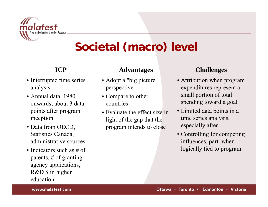

### **Societal (macro) level**

### **ICP**

- Interrupted time series analysis
- Annual data, 1980 onwards; about 3 data points after program inception
- Data from OECD, Statistics Canada, administrative sources
- Indicators such as # of patents, # of granting agency applications, R&D \$ in higher education

#### **Advantages**

- Adopt a "big picture" perspective
- Compare to other countries
- Evaluate the effect size in light of the gap that the program intends to close

### **Challenges**

- Attribution when program expenditures represent a small portion of total spending toward a goal
- Limited data points in a time series analysis, especially after
- Controlling for competing influences, part. when logically tied to program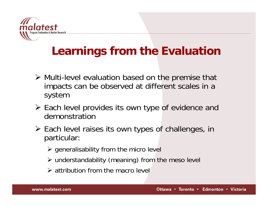

### **Learnings from the Evaluation**

- ¾ Multi-level evaluation based on the premise that impacts can be observed at different scales in a system
- ¾ Each level provides its own type of evidence and demonstration
- ¾ Each level raises its own types of challenges, in particular:
	- $\triangleright$  generalisability from the micro level
	- ¾ understandability (meaning) from the meso level
	- $\triangleright$  attribution from the macro level